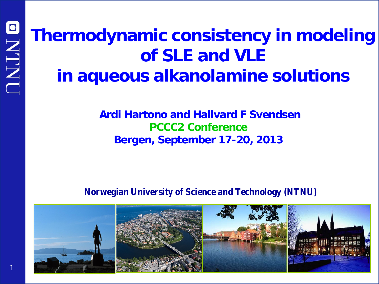# **Thermodynamic consistency in modeling of SLE and VLE in aqueous alkanolamine solutions**

### **Ardi Hartono and Hallvard F Svendsen PCCC2 Conference Bergen, September 17-20, 2013**

### **Norwegian University of Science and Technology (NTNU)**

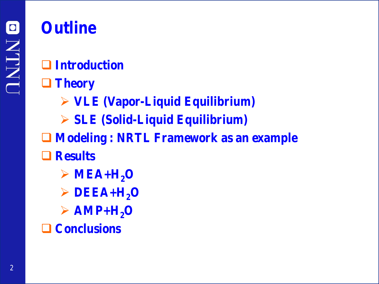# **Outline**

- **Introduction**
- **Theory**
	- **VLE (Vapor-Liquid Equilibrium)**
	- **SLE (Solid-Liquid Equilibrium)**
- **Modeling : NRTL Framework as an example**
- **Results**
	- $\triangleright$  MEA+H<sub>2</sub>O
	- $\triangleright$  DEEA+H<sub>2</sub>O
	- $\triangleright$  AMP+H<sub>2</sub>O
- **Conclusions**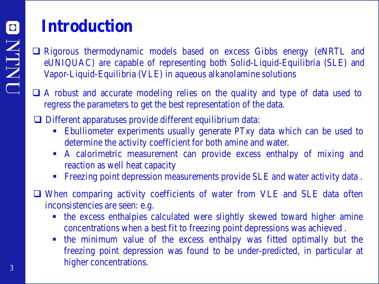# **Introduction**

 Rigorous thermodynamic models based on excess Gibbs energy (eNRTL and eUNIQUAC) are capable of representing both Solid-Liquid-Equilibria (SLE) and Vapor-Liquid-Equilibria (VLE) in aqueous alkanolamine solutions

 A robust and accurate modeling relies on the quality and type of data used to regress the parameters to get the best representation of the data.

Different apparatuses provide different equilibrium data:

- Ebulliometer experiments usually generate PTxy data which can be used to determine the activity coefficient for both amine and water.
- A calorimetric measurement can provide excess enthalpy of mixing and reaction as well heat capacity
- **Five 1** Freezing point depression measurements provide SLE and water activity data.

 When comparing activity coefficients of water from VLE and SLE data often inconsistencies are seen: e.g.

- the excess enthalpies calculated were slightly skewed toward higher amine concentrations when a best fit to freezing point depressions was achieved .
- the minimum value of the excess enthalpy was fitted optimally but the freezing point depression was found to be under-predicted, in particular at higher concentrations.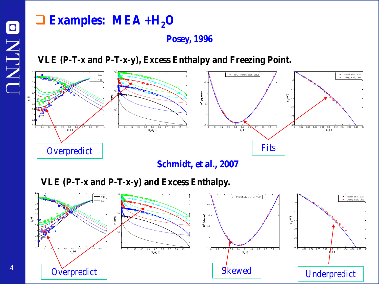### **Examples:** MEA +H<sub>2</sub>O

### **Posey, 1996**

**VLE (P-T-x and P-T-x-y), Excess Enthalpy and Freezing Point.**



**Schmidt, et al., 2007**

**VLE (P-T-x and P-T-x-y) and Excess Enthalpy.**

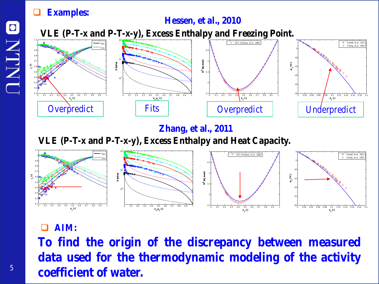### **Examples:**

### **Hessen, et al., 2010**

**VLE (P-T-x and P-T-x-y), Excess Enthalpy and Freezing Point.**



### **Zhang, et al., 2011**

**VLE (P-T-x and P-T-x-y), Excess Enthalpy and Heat Capacity.**



### **AIM:**

**To find the origin of the discrepancy between measured data used for the thermodynamic modeling of the activity coefficient of water.**

 $\bullet$ 

**NLNI**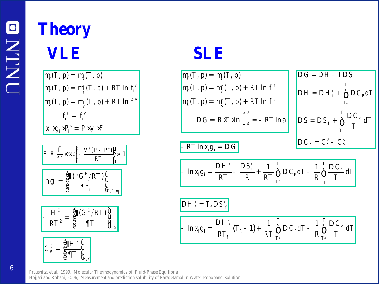# **Theory VLE SLE**

$$
\begin{aligned}\n\mathbf{m}(T, p) &= \mathbf{m}(T, p) \\
\mathbf{m}(T, p) &= \mathbf{m}_\ell^*(T, p) + RT \ln f_i^\ell \\
\mathbf{m}(T, p) &= \mathbf{m}_\ell^*(T, p) + RT \ln f_i^\nu \\
f_i^\ell &= f_i^\nu \\
x_i \times g_i \times P_i^\circ &= P \times y_i \times F_i\n\end{aligned}
$$

$$
\mathbf{r}_{i} \circ \frac{\hat{f}_{i}}{f_{i}^{\ast}} \exp \left\{ -\frac{V_{i}^{\ell}(P - P_{i}^{\circ})\ddot{\mathbf{F}}_{i} \mathbf{w} \cdot \mathbf{w}}{RT} \mathbf{w} \cdot \mathbf{w} \right\}
$$
\n
$$
\ln g_{i} = \frac{\oint_{\mathbf{G}} \mathbf{f}(nG^{E}/RT)\dot{\mathbf{W}}_{i}}{\oint_{\mathbf{G}} \mathbf{f}(n_{i} \quad \mathbf{W}_{i} \mathbf{w} \cdot \mathbf{w} \cdot \mathbf{w}}_{\mathbf{G}, P, n_{i}}
$$

$$
-\frac{H^E}{RT^2} = \frac{\oint_{\mathbf{C}}^{\mathbf{F}} \mathbf{G} \left( \mathbf{G}^E / RT \right) \dot{\mathbf{U}}}{\oint_{\mathbf{C}} \mathbf{T}} \mathbf{U}_{\mathbf{U},x}
$$



$$
m(T, p) = m_{\ell}(T, p) + RT \ln f_{i}^{\ell}
$$
\n
$$
m(T, p) = m_{\ell}(T, p) + RT \ln f_{i}^{\ell}
$$
\n
$$
DG = RK^{T} \cdot M \cdot n \frac{f_{i}^{\ell}}{f_{i}^{\ell}} = -RT \ln a_{i}
$$
\n
$$
DS = DS_{f}^{\circ} + \sum_{T_{f}}^{T} \frac{DC_{P}}{T} dT
$$
\n
$$
- RT \ln x_{i}g_{i} = DG
$$
\n
$$
DC_{P} = C_{P}^{\ell} - C_{P}^{\delta}
$$

$$
- \ln x_i \mathbf{g}_i = \frac{\mathbf{D}H_f^{\circ}}{RT} - \frac{\mathbf{D}S_f^{\circ}}{R} + \frac{1}{RT} \sum_{T_f}^{T} \mathbf{D}C_p dT - \frac{1}{R} \sum_{T_f}^{T} \frac{\mathbf{D}C_p}{T} dT
$$

$$
DH_f^{\circ} = T_f DS_f^{\circ}
$$
  
- ln x<sub>i</sub>g<sub>i</sub> =  $\frac{DH_f^{\circ}}{RT_f}(T_R - 1) + \frac{1}{RT} \sum_{T_f}^{T} DC_p dT - \frac{1}{R} \sum_{T_f}^{T} \frac{DC_p}{T} dT$ 

Prausnitz, et al., 1999, Molecular Thermodynamics of Fluid-Phase Equilibria Hojjati and Rohani, 2006, Measurement and prediction solubility of Paracetamol in Water-Isopopanol solution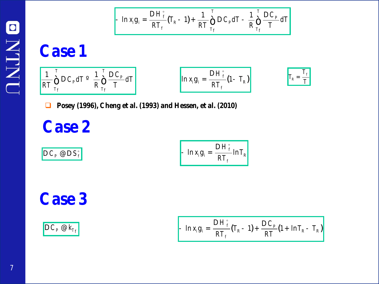

**Case 1**

$$
\frac{1}{RT} \bigotimes_{T_f}^{T} \mathbf{D} C_p dT^{\circ} \frac{1}{R} \bigotimes_{T_f}^{T} \frac{\mathbf{D} C_p}{T} dT
$$
\n
$$
\ln x_i \mathbf{g}_i = \frac{\mathbf{D} H_f^{\circ}}{RT_f} \left(1 - T_R\right)
$$
\n
$$
T_R = \frac{T_f}{T}
$$

**Posey (1996), Cheng et al. (1993) and Hessen, et al. (2010)**

**Case 2**

$$
DC_P @DS_f^{\circ}
$$
 
$$
ln x_i g_i = \frac{DH_f^{\circ}}{RT_f} ln T_R
$$

**Case 3**

$$
\mathbf{D}\,C_P\,\,\mathbf{Q}\,k_{T_f}\,\,\mathbf{I}\,\,\mathbf{I}\,\,\mathbf{I}\,\,\mathbf{I}\,\,\mathbf{I}\,\,\mathbf{I}\,\,\mathbf{I}\,\,\mathbf{I}\,\,\mathbf{I}\,\,\mathbf{I}\,\,\mathbf{I}\,\,\mathbf{I}\,\,\mathbf{I}\,\,\mathbf{I}\,\,\mathbf{I}\,\,\mathbf{I}\,\,\mathbf{I}\,\,\mathbf{I}\,\,\mathbf{I}\,\,\mathbf{I}\,\,\mathbf{I}\,\,\mathbf{I}\,\,\mathbf{I}\,\,\mathbf{I}\,\,\mathbf{I}\,\,\mathbf{I}\,\,\mathbf{I}\,\,\mathbf{I}\,\,\mathbf{I}\,\,\mathbf{I}\,\,\mathbf{I}\,\,\mathbf{I}\,\,\mathbf{I}\,\,\mathbf{I}\,\,\mathbf{I}\,\,\mathbf{I}\,\,\mathbf{I}\,\,\mathbf{I}\,\,\mathbf{I}\,\,\mathbf{I}\,\,\mathbf{I}\,\,\mathbf{I}\,\,\mathbf{I}\,\,\mathbf{I}\,\,\mathbf{I}\,\,\mathbf{I}\,\,\mathbf{I}\,\,\mathbf{I}\,\,\mathbf{I}\,\,\mathbf{I}\,\,\mathbf{I}\,\,\mathbf{I}\,\,\mathbf{I}\,\,\mathbf{I}\,\,\mathbf{I}\,\,\mathbf{I}\,\,\mathbf{I}\,\,\mathbf{I}\,\,\mathbf{I}\,\,\mathbf{I}\,\,\mathbf{I}\,\,\mathbf{I}\,\,\mathbf{I}\,\,\mathbf{I}\,\,\mathbf{I}\,\,\mathbf{I}\,\,\mathbf{I}\,\,\mathbf{I}\,\,\mathbf{I}\,\,\mathbf{I}\,\,\mathbf{I}\,\,\mathbf{I}\,\,\mathbf{I}\,\,\mathbf{I}\,\,\mathbf{I}\,\,\mathbf{I}\,\,\mathbf{I}\,\,\mathbf{I}\,\,\mathbf{I}\,\,\mathbf{I}\,\,\mathbf{I}\,\,\mathbf{I}\,\,\mathbf{I}\,\,\mathbf{I}\,\,\mathbf{I}\,\,\mathbf{I}\,\,\mathbf{I}\,\,\mathbf{I}\,\,\mathbf{I}\,\,\mathbf{I}\,\,\mathbf{I}\,\,\mathbf{I}\,\,\mathbf{I}\,\,\mathbf{I}\,\,\mathbf{I}\,\,\mathbf{I}\,\,\mathbf{I}\,\,\mathbf{I}\,\,\mathbf{I}\,\,\mathbf{I}\,\,\mathbf{I}\,\,\mathbf{I}\,\,\mathbf{I}\,\,\mathbf{I}\,\,\mathbf{I}\,\,\
$$

*T*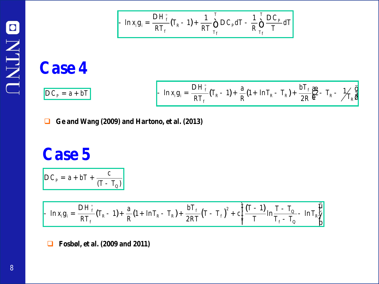$$
- \ln x_i g_i = \frac{DH_f^{\circ}}{RT_f} (T_R - 1) + \frac{1}{RT} \sum_{T_f}^{T} DC_p dT - \frac{1}{R} \sum_{T_f}^{T} \frac{DC_p}{T} dT
$$

# **Case 4**

 $\overline{DC_p} = a + bT$ 

$$
- \ln x_i g_i = \frac{DH_f^{\circ}}{RT_f} (T_R - 1) + \frac{a}{R} (1 + \ln T_R - T_R) + \frac{bT_f}{2R} \frac{g_2}{g} - T_R - \frac{1}{2} \frac{g}{R} \frac{g_1}{g}
$$

**Ge and Wang (2009) and Hartono, et al. (2013)**

# **Case 5**

$$
DC_P = a + bT + \frac{c}{(T - T_Q)}
$$

$$
-\ln x_i g_i = \frac{DH_f^{\circ}}{RT_f} (T_R - 1) + \frac{a}{R} (1 + \ln T_R - T_R) + \frac{bT_f}{2RT} (T - T_f)^2 + c \frac{\frac{a}{R}}{T} \frac{(T - 1)}{T_f} \ln \frac{T - T_Q}{T_f - T_Q} - \ln T_R \frac{\mu}{b}
$$

**Fosbøl, et al. (2009 and 2011)**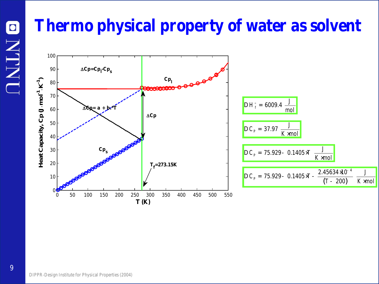# **Thermo physical property of water as solvent**

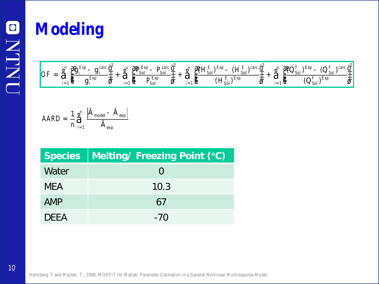# **Modeling**

$$
OF = \stackrel{\circ}{\mathbf{a}} \stackrel{\circ}{\mathbf{b}} \stackrel{\circ}{\mathbf{b}} \stackrel{Exp}{=} \frac{g_i^{Exp} - g_i^{calc}}{g_i^{Exp} - \frac{1}{\mathbf{b}}}\n+ \stackrel{\circ}{\mathbf{a}} \stackrel{\circ}{\mathbf{b}} \stackrel{Exp}{=} \frac{g_i^{Exp} - P_{Sol}^{calc}}{P_{Sol}^{Exp}}\n+ \stackrel{\circ}{\mathbf{a}} \stackrel{\circ}{\mathbf{b}} \stackrel{Exp}{=} \frac{g_i^{exp} - (H_{Sol}^E)^{cabc}}{(H_{Sol}^E)^{Exp}}\n+ \stackrel{\circ}{\mathbf{a}} \stackrel{\circ}{\mathbf{b}} \stackrel{Exp}{=} \frac{g_i^{exp} - (H_{Sol}^E)^{calc}}{(H_{Sol}^E)^{Exp}}\n+ \stackrel{\circ}{\mathbf{a}} \stackrel{\circ}{\mathbf{b}} \stackrel{Exp}{=} \frac{g_i^{exp} - (Q_{Sol}^F)^{calc}}{(Q_{Sol}^F)^{Exp}}\n+ \stackrel{\circ}{\mathbf{b}} \stackrel{Exp}{=} \frac{g_i^{exp} - (Q_{Sol}^F)^{calc}}{g_i^{Exp} - \frac{1}{\mathbf{b}}}\n+ \stackrel{\circ}{\mathbf{b}} \stackrel{\circ}{\mathbf{b}} \stackrel{Exp}{=} \frac{g_i^{exp} - (Q_{Sol}^F)^{calc}}{g_i^{Exp} - \frac{1}{\mathbf{b}}}\n+ \stackrel{\circ}{\mathbf{b}} \stackrel{\circ}{\mathbf{b}} \stackrel{Exp}{=} \frac{g_i^{exp} - g_i^{exp} - g_i^{exp} - g_i^{exp} - g_i^{exp} - g_i^{exp} - g_i^{exp} - g_i^{exp} - g_i^{exp} - g_i^{exp} - g_i^{exp} - g_i^{exp} - g_i^{exp} - g_i^{exp} - g_i^{exp} - g_i^{exp} - g_i^{exp} - g_i^{exp} - g_i^{exp} - g_i^{exp} - g_i^{exp} - g_i^{exp} - g_i^{exp} - g_i^{exp} - g_i^{exp} - g_i^{exp} - g_i^{exp} - g_i^{exp} - g_i^{exp} - g_i^{exp} - g_i^{exp} - g_i^{exp} - g_i^{exp} - g_i^{exp} - g_i^{exp} - g_i^{exp} - g_i^{exp} - g_i^{exp} - g_i^{exp} - g_i^{exp} - g_i^{exp} - g_i^{exp} - g_i^{exp} - g
$$

$$
AARD = \frac{1}{n} \mathbf{\mathring{A}}_{i=1}^{n} \frac{\left| \hat{A}_{\text{model}} - \hat{A}_{\text{exp}} \right|}{\hat{A}_{\text{exp}}}
$$

| <b>Species</b> | Melting/ Freezing Point (°C) |
|----------------|------------------------------|
| Water          | $\left( \right)$             |
| <b>MEA</b>     | 10.3                         |
| AMP            | 67                           |
| <b>DEFA</b>    | $-70$                        |

Hertzberg, T and Mejdell, T., 1998, MODFIT for Matlab: Parameter Estimation in a General Nonlinear Multiresponse Model.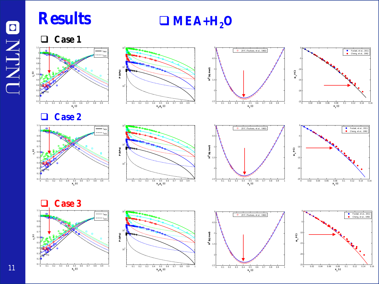**Results □** MEA+H<sub>2</sub>O

**Case 1**

























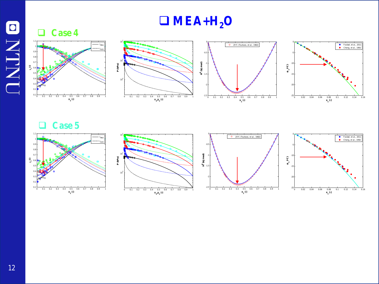# ONLNO

### **Case 4**







 $MEA+H<sub>2</sub>O$ 



### **Case 5**







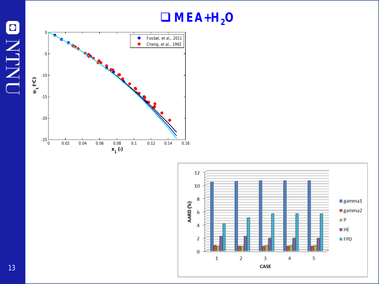### $MEA+H<sub>2</sub>O$





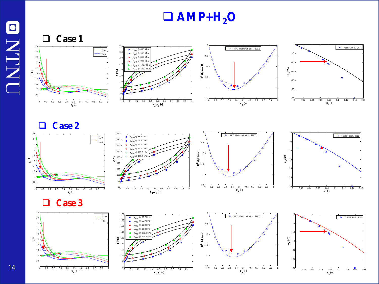### $\Box$  AMP+H<sub>2</sub>O



**x**<sub>1</sub>(-)

 $\frac{30}{0}$  0.02 0.04 0.06 0.08 0.1 0.12 0.14 0.16

**x**<sub>1</sub>(-)

0 0.1 0.2 0.3 0.4 0.5 0.6 0.7 0.8 0.9 1

**x**<sub>1</sub>, **y**<sub>1</sub> (-)

0 0.1 0.2 0.3 0.4 0.5 0.6 0.7 0.8 0.9 1

**x**<sub>1</sub>(-)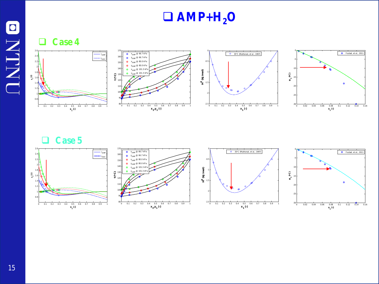### $\Box$  AMP+ $H_2O$

**Case 4**









**Case 5**



**ONTNU**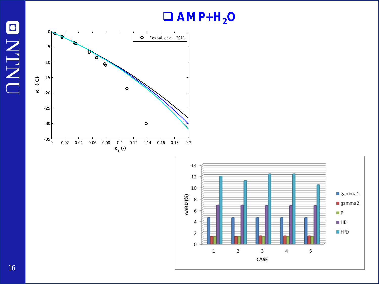### $\Box$  AMP+H<sub>2</sub>O





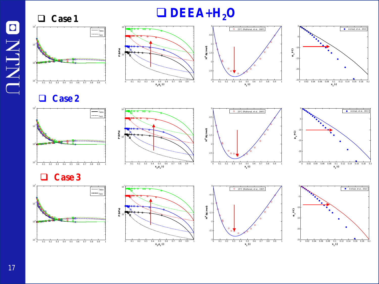### **DEEA+H2O**











**Case 2**









**Case 3**







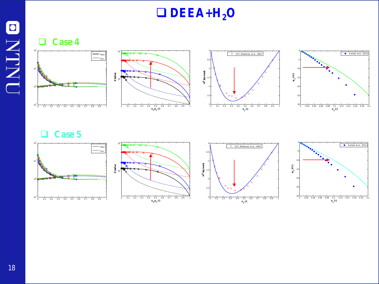### **DEEA+H2O**

**Case 4**









**Case 5**









ONLND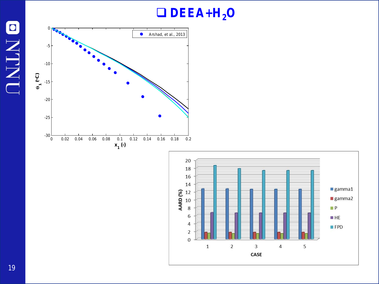## **DEEA+H2O**





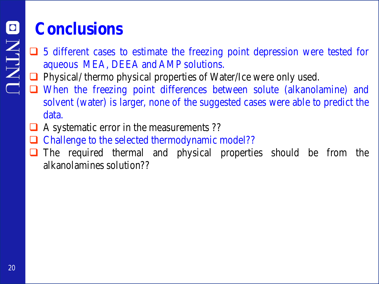# **Conclusions**

- $\Box$  5 different cases to estimate the freezing point depression were tested for aqueous MEA, DEEA and AMP solutions.
- **Physical/ thermo physical properties of Water/Ice were only used.**
- When the freezing point differences between solute (alkanolamine) and solvent (water) is larger, none of the suggested cases were able to predict the data.
- A systematic error in the measurements ??
- Challenge to the selected thermodynamic model??
- The required thermal and physical properties should be from the alkanolamines solution??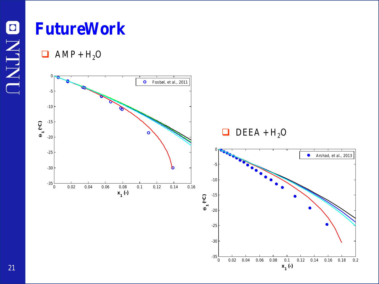# **FutureWork**

 $\Box$  AMP + H<sub>2</sub>O